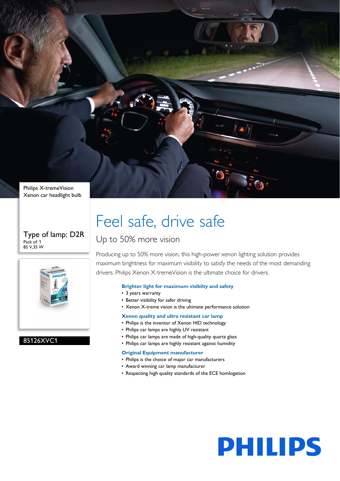Philips X-tremeVision Xenon car headlight bulb

## Type of lamp: D2R Pack of: 1 85 V,35 W



## 85126XVC1

# Feel safe, drive safe

## Up to 50% more vision

Producing up to 50% more vision, this high-power xenon lighting solution provides maximum brightness for maximum visibility to satisfy the needs of the most demanding drivers. Philips Xenon X-tremeVision is the ultimate choice for drivers.

## **Brighter light for maximum visibilty and safety**

- 3 years warranty
- Better visibility for safer driving
- Xenon X-treme vision is the ultimate performance solution

## **Xenon quality and ultra resistant car lamp**

- Philips is the inventor of Xenon HID technology
- Philips car lamps are highly UV resistant
- Philips car lamps are made of high-quality quartz glass
- Philips car lamps are highly resistant against humidity

## **Original Equipment manufacturer**

- Philips is the choice of major car manufacturers
- Award winning car lamp manufacturer
- Respecting high quality standards of the ECE homlogation

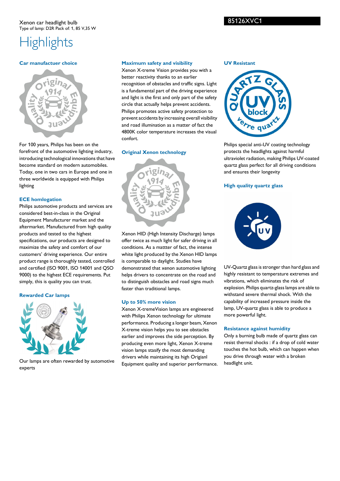## 85126XVC1

## **Highlights**

## **Car manufactuer choice**



For 100 years, Philips has been on the forefront of the automotive lighting industry, introducing technological innovations that have become standard on modern automobiles. Today, one in two cars in Europe and one in three worldwide is equipped with Philips lighting

## **ECE homlogation**

Philips automotive products and services are considered best-in-class in the Original Equipment Manufacturer market and the aftermarket. Manufactured from high quality products and tested to the highest specifications, our products are designed to maximize the safety and comfort of our customers' driving experience. Our entire product range is thoroughly tested, controlled and certified (ISO 9001, ISO 14001 and QSO 9000) to the highest ECE requirements. Put simply, this is quality you can trust.

## **Rewarded Car lamps**



Our lamps are often rewarded by automotive experts

## **Maximum safety and visibility**

Xenon X-treme Vision provides you with a better reactivity thanks to an earlier recognition of obstacles and traffic signs. Light is a fundamental part of the driving experience and light is the first and only part of the safety circle that actually helps prevent accidents. Philips promotes active safety protection to prevent accidents by increasing overall visibility and road illumination as a matter of fact the 4800K color temperature increases the visual confort.

## **Original Xenon technology**



Xenon HID (High Intensity Discharge) lamps offer twice as much light for safer driving in all conditions. As a mattter of fact, the intense white light produced by the Xenon HID lamps is comparable to daylight. Studies have demonstrated that xenon automotive lighting helps drivers to concentrate on the road and to distinguish obstacles and road signs much faster than traditional lamps.

## **Up to 50% more vision**

Xenon X-tremeVision lamps are engineered with Philips Xenon technology for ultimate performance. Producing a longer beam, Xenon X-treme vision helps you to see obstacles earlier and improves the side perception. By producing even more light, Xenon X-treme vision lamps stasify the most demanding drivers while maintaining its high Origianl Equipment quality and superior perrformance.

### **UV Resistant**



Philips special anti-UV coating technology protects the headlights against harmful ultraviolet radiation, making Philips UV-coated quartz glass perfect for all driving conditions and ensures their longevity

## **High quality quartz glass**



UV-Quartz glass is stronger than hard glass and highly resistant to temperature extremes and vibrations, which eliminates the risk of explosion. Philips quartz-glass lamps are able to withstand severe thermal shock. With the capability of increased pressure inside the lamp, UV-quartz glass is able to produce a more powerful light.

## **Resistance against humidity**

Only a burning bulb made of quartz glass can resist thermal shocks : if a drop of cold water touches the hot bulb, which can happen when you drive through water with a broken headlight unit.